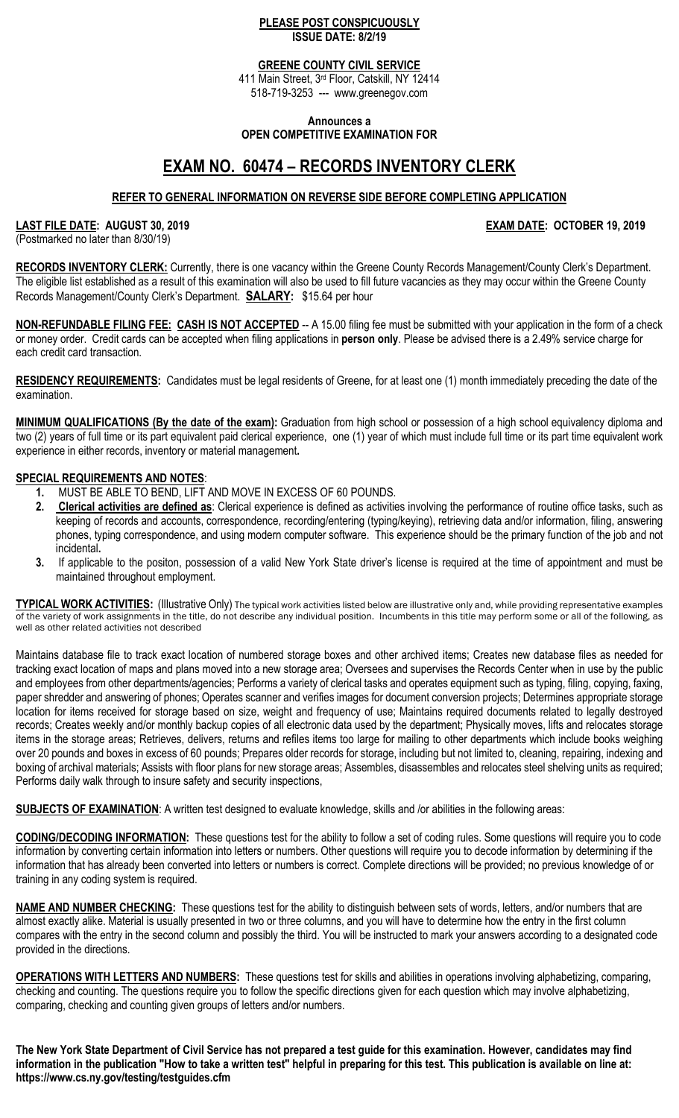## **PLEASE POST CONSPICUOUSLY ISSUE DATE: 8/2/19**

## **GREENE COUNTY CIVIL SERVICE**

411 Main Street, 3rd Floor, Catskill, NY 12414 518-719-3253 --- www.greenegov.com

#### **Announces a OPEN COMPETITIVE EXAMINATION FOR**

# **EXAM NO. 60474 – RECORDS INVENTORY CLERK**

## **REFER TO GENERAL INFORMATION ON REVERSE SIDE BEFORE COMPLETING APPLICATION**

## **LAST FILE DATE: AUGUST 30, 2019 EXAM DATE: OCTOBER 19, 2019**

(Postmarked no later than 8/30/19)

**RECORDS INVENTORY CLERK:** Currently, there is one vacancy within the Greene County Records Management/County Clerk's Department. The eligible list established as a result of this examination will also be used to fill future vacancies as they may occur within the Greene County Records Management/County Clerk's Department. **SALARY:** \$15.64 per hour

**NON-REFUNDABLE FILING FEE: CASH IS NOT ACCEPTED** -- A 15.00 filing fee must be submitted with your application in the form of a check or money order. Credit cards can be accepted when filing applications in **person only**. Please be advised there is a 2.49% service charge for each credit card transaction.

**RESIDENCY REQUIREMENTS:** Candidates must be legal residents of Greene, for at least one (1) month immediately preceding the date of the examination.

**MINIMUM QUALIFICATIONS (By the date of the exam):** Graduation from high school or possession of a high school equivalency diploma and two (2) years of full time or its part equivalent paid clerical experience, one (1) year of which must include full time or its part time equivalent work experience in either records, inventory or material management**.** 

## **SPECIAL REQUIREMENTS AND NOTES**:

- **1.** MUST BE ABLE TO BEND, LIFT AND MOVE IN EXCESS OF 60 POUNDS.
- 2. Clerical activities are defined as: Clerical experience is defined as activities involving the performance of routine office tasks, such as keeping of records and accounts, correspondence, recording/entering (typing/keying), retrieving data and/or information, filing, answering phones, typing correspondence, and using modern computer software. This experience should be the primary function of the job and not incidental**.**
- **3.** If applicable to the positon, possession of a valid New York State driver's license is required at the time of appointment and must be maintained throughout employment.

**TYPICAL WORK ACTIVITIES:** (Illustrative Only) The typical work activities listed below are illustrative only and, while providing representative examples of the variety of work assignments in the title, do not describe any individual position. Incumbents in this title may perform some or all of the following, as well as other related activities not described

Maintains database file to track exact location of numbered storage boxes and other archived items; Creates new database files as needed for tracking exact location of maps and plans moved into a new storage area; Oversees and supervises the Records Center when in use by the public and employees from other departments/agencies; Performs a variety of clerical tasks and operates equipment such as typing, filing, copying, faxing, paper shredder and answering of phones; Operates scanner and verifies images for document conversion projects; Determines appropriate storage location for items received for storage based on size, weight and frequency of use; Maintains required documents related to legally destroyed records; Creates weekly and/or monthly backup copies of all electronic data used by the department; Physically moves, lifts and relocates storage items in the storage areas; Retrieves, delivers, returns and refiles items too large for mailing to other departments which include books weighing over 20 pounds and boxes in excess of 60 pounds; Prepares older records for storage, including but not limited to, cleaning, repairing, indexing and boxing of archival materials; Assists with floor plans for new storage areas; Assembles, disassembles and relocates steel shelving units as required; Performs daily walk through to insure safety and security inspections,

**SUBJECTS OF EXAMINATION**: A written test designed to evaluate knowledge, skills and /or abilities in the following areas:

**CODING/DECODING INFORMATION:** These questions test for the ability to follow a set of coding rules. Some questions will require you to code information by converting certain information into letters or numbers. Other questions will require you to decode information by determining if the information that has already been converted into letters or numbers is correct. Complete directions will be provided; no previous knowledge of or training in any coding system is required.

**NAME AND NUMBER CHECKING:** These questions test for the ability to distinguish between sets of words, letters, and/or numbers that are almost exactly alike. Material is usually presented in two or three columns, and you will have to determine how the entry in the first column compares with the entry in the second column and possibly the third. You will be instructed to mark your answers according to a designated code provided in the directions.

**OPERATIONS WITH LETTERS AND NUMBERS:** These questions test for skills and abilities in operations involving alphabetizing, comparing, checking and counting. The questions require you to follow the specific directions given for each question which may involve alphabetizing, comparing, checking and counting given groups of letters and/or numbers.

**The New York State Department of Civil Service has not prepared a test guide for this examination. However, candidates may find information in the publication "How to take a written test" helpful in preparing for this test. This publication is available on line at: https://www.cs.ny.gov/testing/testguides.cfm**